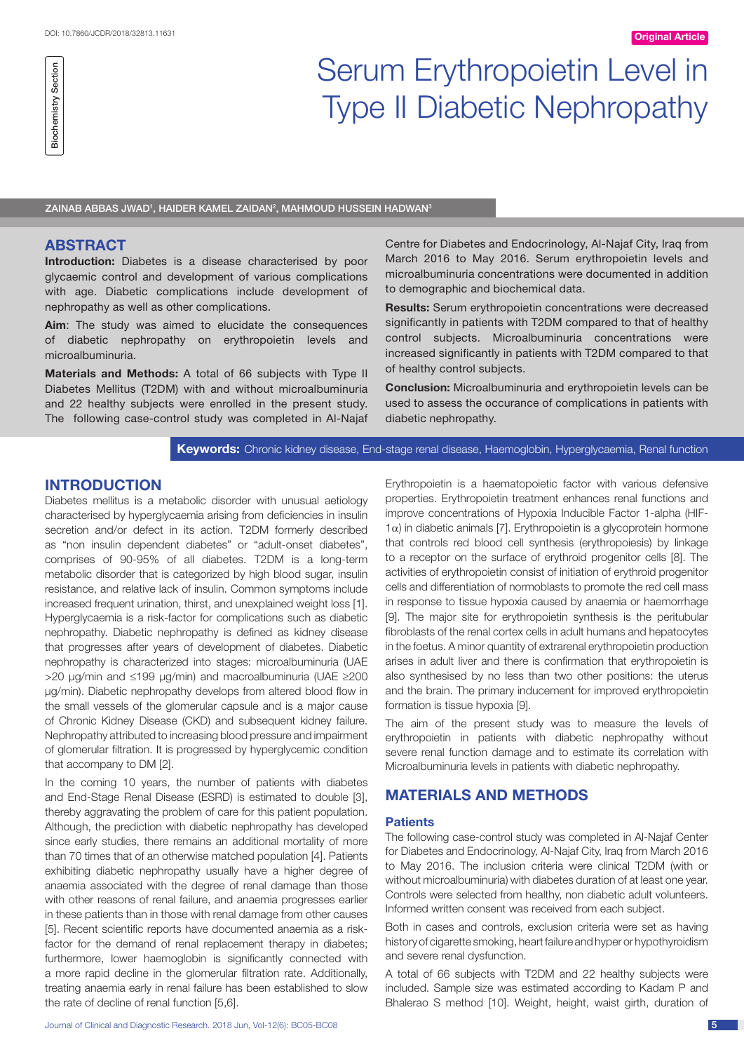# Serum Erythropoietin Level in Type II Diabetic Nephropathy

ZAINAB ABBAS JWAD<sup>1</sup>, HAIDER KAMEL ZAIDAN<sup>2</sup>, MAHMOUD HUSSEIN HADWAN<sup>3</sup>

### **ABSTRACT**

Biochemistry Section

**Biochemistry Section** 

**Introduction:** Diabetes is a disease characterised by poor glycaemic control and development of various complications with age. Diabetic complications include development of nephropathy as well as other complications.

**Aim**: The study was aimed to elucidate the consequences of diabetic nephropathy on erythropoietin levels and microalbuminuria.

**Materials and Methods:** A total of 66 subjects with Type II Diabetes Mellitus (T2DM) with and without microalbuminuria and 22 healthy subjects were enrolled in the present study. The following case-control study was completed in Al-Najaf Centre for Diabetes and Endocrinology, Al-Najaf City, Iraq from March 2016 to May 2016. Serum erythropoietin levels and microalbuminuria concentrations were documented in addition to demographic and biochemical data.

**Results:** Serum erythropoietin concentrations were decreased significantly in patients with T2DM compared to that of healthy control subjects. Microalbuminuria concentrations were increased significantly in patients with T2DM compared to that of healthy control subjects.

**Conclusion:** Microalbuminuria and erythropoietin levels can be used to assess the occurance of complications in patients with diabetic nephropathy.

**Keywords:** Chronic kidney disease, End-stage renal disease, Haemoglobin, Hyperglycaemia, Renal function

## **Introduction**

Diabetes mellitus is a metabolic disorder with unusual aetiology characterised by hyperglycaemia arising from deficiencies in insulin secretion and/or defect in its action. T2DM formerly described as "non insulin dependent diabetes" or "adult-onset diabetes", comprises of 90-95% of all diabetes. T2DM is a long-term metabolic disorder that is categorized by high blood sugar, insulin resistance, and relative lack of insulin. Common symptoms include increased frequent urination, thirst, and unexplained weight loss [1]. Hyperglycaemia is a risk-factor for complications such as diabetic nephropathy. Diabetic nephropathy is defined as kidney disease that progresses after years of development of diabetes. Diabetic nephropathy is characterized into stages: microalbuminuria (UAE >20 μg/min and ≤199 μg/min) and macroalbuminuria (UAE ≥200 μg/min). Diabetic nephropathy develops from altered blood flow in the small vessels of the glomerular capsule and is a major cause of Chronic Kidney Disease (CKD) and subsequent kidney failure. Nephropathy attributed to increasing blood pressure and impairment of glomerular filtration. It is progressed by hyperglycemic condition that accompany to DM [2].

In the coming 10 years, the number of patients with diabetes and End-Stage Renal Disease (ESRD) is estimated to double [3], thereby aggravating the problem of care for this patient population. Although, the prediction with diabetic nephropathy has developed since early studies, there remains an additional mortality of more than 70 times that of an otherwise matched population [4]. Patients exhibiting diabetic nephropathy usually have a higher degree of anaemia associated with the degree of renal damage than those with other reasons of renal failure, and anaemia progresses earlier in these patients than in those with renal damage from other causes [5]. Recent scientific reports have documented anaemia as a riskfactor for the demand of renal replacement therapy in diabetes; furthermore, lower haemoglobin is significantly connected with a more rapid decline in the glomerular filtration rate. Additionally, treating anaemia early in renal failure has been established to slow the rate of decline of renal function [5,6].

Erythropoietin is a haematopoietic factor with various defensive properties. Erythropoietin treatment enhances renal functions and improve concentrations of Hypoxia Inducible Factor 1-alpha (HIF- $1α$ ) in diabetic animals [7]. Erythropoietin is a glycoprotein hormone that controls red blood cell synthesis (erythropoiesis) by linkage to a receptor on the surface of erythroid progenitor cells [8]. The activities of erythropoietin consist of initiation of erythroid progenitor cells and differentiation of normoblasts to promote the red cell mass in response to tissue hypoxia caused by anaemia or haemorrhage [9]. The major site for erythropoietin synthesis is the peritubular fibroblasts of the renal cortex cells in adult humans and hepatocytes in the foetus. A minor quantity of extrarenal erythropoietin production arises in adult liver and there is confirmation that erythropoietin is also synthesised by no less than two other positions: the uterus and the brain. The primary inducement for improved erythropoietin formation is tissue hypoxia [9].

The aim of the present study was to measure the levels of erythropoietin in patients with diabetic nephropathy without severe renal function damage and to estimate its correlation with Microalbuminuria levels in patients with diabetic nephropathy.

# **Materials and Methods**

#### **Patients**

The following case-control study was completed in Al-Najaf Center for Diabetes and Endocrinology, Al-Najaf City, Iraq from March 2016 to May 2016. The inclusion criteria were clinical T2DM (with or without microalbuminuria) with diabetes duration of at least one year. Controls were selected from healthy, non diabetic adult volunteers. Informed written consent was received from each subject.

Both in cases and controls, exclusion criteria were set as having history of cigarette smoking, heart failure and hyper or hypothyroidism and severe renal dysfunction.

A total of 66 subjects with T2DM and 22 healthy subjects were included. Sample size was estimated according to Kadam P and Bhalerao S method [10]. Weight, height, waist girth, duration of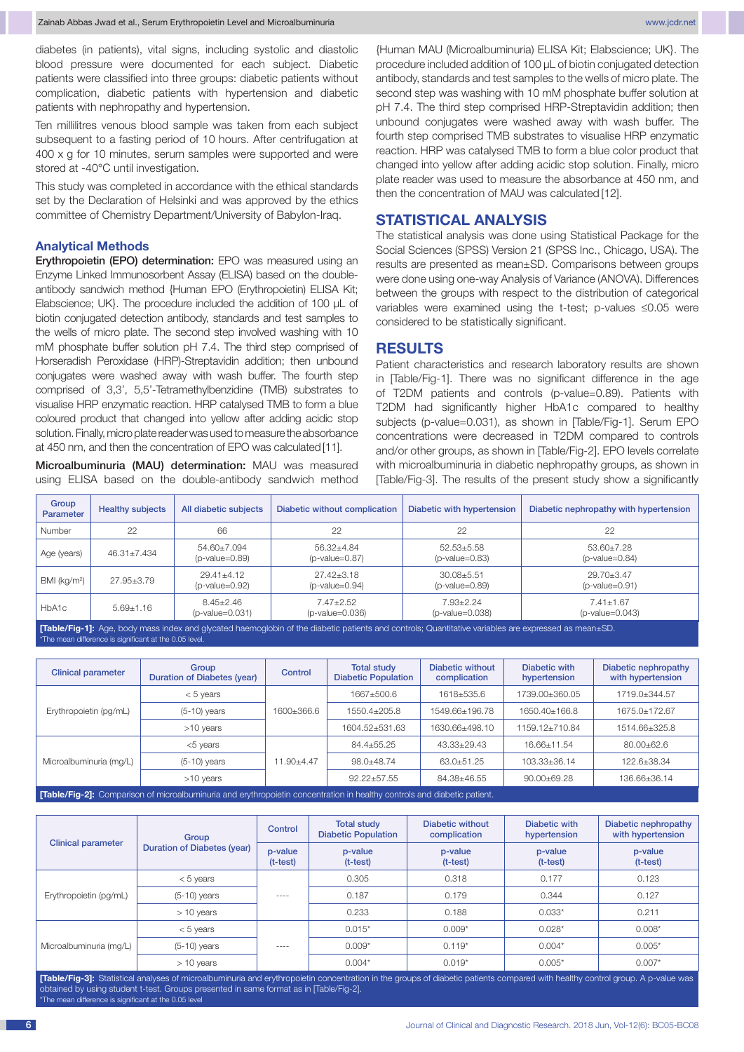diabetes (in patients), vital signs, including systolic and diastolic blood pressure were documented for each subject. Diabetic patients were classified into three groups: diabetic patients without complication, diabetic patients with hypertension and diabetic patients with nephropathy and hypertension.

Ten millilitres venous blood sample was taken from each subject subsequent to a fasting period of 10 hours. After centrifugation at 400 x g for 10 minutes, serum samples were supported and were stored at -40°C until investigation.

This study was completed in accordance with the ethical standards set by the Declaration of Helsinki and was approved by the ethics committee of Chemistry Department/University of Babylon-Iraq.

#### **Analytical Methods**

Erythropoietin (EPO) determination: EPO was measured using an Enzyme Linked Immunosorbent Assay (ELISA) based on the doubleantibody sandwich method {Human EPO (Erythropoietin) ELISA Kit; Elabscience; UK}. The procedure included the addition of 100 μL of biotin conjugated detection antibody, standards and test samples to the wells of micro plate. The second step involved washing with 10 mM phosphate buffer solution pH 7.4. The third step comprised of Horseradish Peroxidase (HRP)-Streptavidin addition; then unbound conjugates were washed away with wash buffer. The fourth step comprised of 3,3', 5,5'-Tetramethylbenzidine (TMB) substrates to visualise HRP enzymatic reaction. HRP catalysed TMB to form a blue coloured product that changed into yellow after adding acidic stop solution. Finally, micro plate reader was used to measure the absorbance at 450 nm, and then the concentration of EPO was calculated [11].

Microalbuminuria (MAU) determination: MAU was measured using ELISA based on the double-antibody sandwich method

{Human MAU (Microalbuminuria) ELISA Kit; Elabscience; UK}. The procedure included addition of 100 μL of biotin conjugated detection antibody, standards and test samples to the wells of micro plate. The second step was washing with 10 mM phosphate buffer solution at pH 7.4. The third step comprised HRP-Streptavidin addition; then unbound conjugates were washed away with wash buffer. The fourth step comprised TMB substrates to visualise HRP enzymatic reaction. HRP was catalysed TMB to form a blue color product that changed into yellow after adding acidic stop solution. Finally, micro plate reader was used to measure the absorbance at 450 nm, and then the concentration of MAU was calculated [12].

### **STATISTICAL ANALYSIS**

The statistical analysis was done using Statistical Package for the Social Sciences (SPSS) Version 21 (SPSS Inc., Chicago, USA). The results are presented as mean±SD. Comparisons between groups were done using one-way Analysis of Variance (ANOVA). Differences between the groups with respect to the distribution of categorical variables were examined using the t-test; p-values ≤0.05 were considered to be statistically significant.

## **Results**

Patient characteristics and research laboratory results are shown in [Table/Fig-1]. There was no significant difference in the age of T2DM patients and controls (p-value=0.89). Patients with T2DM had significantly higher HbA1c compared to healthy subjects (p-value=0.031), as shown in [Table/Fig-1]. Serum EPO concentrations were decreased in T2DM compared to controls and/or other groups, as shown in [Table/Fig-2]. EPO levels correlate with microalbuminuria in diabetic nephropathy groups, as shown in [Table/Fig-3]. The results of the present study show a significantly

| Group<br>Parameter       | <b>Healthy subjects</b> | All diabetic subjects              | Diabetic without complication        | Diabetic with hypertension           | Diabetic nephropathy with hypertension |
|--------------------------|-------------------------|------------------------------------|--------------------------------------|--------------------------------------|----------------------------------------|
| Number                   | 22                      | 66                                 | 22                                   | 22                                   | 22                                     |
| Age (years)              | $46.31 \pm 7.434$       | 54.60±7.094<br>$(p-value=0.89)$    | 56.32+4.84<br>$(p-value=0.87)$       | $52.53 \pm 5.58$<br>$(p-value=0.83)$ | 53.60+7.28<br>$(p$ -value=0.84)        |
| BMI (kg/m <sup>2</sup> ) | 27.95+3.79              | $29.41 + 4.12$<br>$(p-value=0.92)$ | $27.42 + 3.18$<br>$(p-value=0.94)$   | $30.08 + 5.51$<br>$(p-value=0.89)$   | $29.70 + 3.47$<br>$(p$ -value=0.91)    |
| HbA1c                    | $5.69 + 1.16$           | $8.45 + 2.46$<br>$(p-value=0.031)$ | $7.47 \pm 2.52$<br>$(p-value=0.036)$ | $7.93 + 2.24$<br>$(p-value=0.038)$   | $7.41 + 1.67$<br>$(p-value=0.043)$     |

**[Table/Fig-1]:** Age, body mass index and glycated haemoglobin of the diabetic patients and controls: Quantitative variables are express -<br>\*The mean difference is significant at the 0.05 level

| <b>Clinical parameter</b>                                                                                                      | Group<br>Duration of Diabetes (year) | Control    | <b>Total study</b><br><b>Diabetic Population</b> | Diabetic without<br>complication | Diabetic with<br>hypertension | Diabetic nephropathy<br>with hypertension |  |
|--------------------------------------------------------------------------------------------------------------------------------|--------------------------------------|------------|--------------------------------------------------|----------------------------------|-------------------------------|-------------------------------------------|--|
|                                                                                                                                | $< 5$ years                          | 1600±366.6 | 1667+500.6                                       | 1618+535.6                       | 1739.00+360.05                | 1719.0+344.57                             |  |
| Erythropoietin (pg/mL)                                                                                                         | $(5-10)$ years                       |            | 1550.4+205.8                                     | 1549.66±196.78                   | 1650.40+166.8                 | 1675.0+172.67                             |  |
|                                                                                                                                | >10 years                            |            | 1604.52+531.63                                   | 1630.66+498.10                   | 1159.12+710.84                | 1514.66+325.8                             |  |
|                                                                                                                                | $<$ 5 years                          | 11.90+4.47 | 84.4±55.25                                       | $43.33+29.43$                    | 16.66±11.54                   | $80.00 \pm 62.6$                          |  |
| Microalbuminuria (mg/L)                                                                                                        | $(5-10)$ years                       |            | 98.0+48.74                                       | 63.0+51.25                       | 103.33±36.14                  | 122.6±38.34                               |  |
|                                                                                                                                | >10 years                            |            | $92.22 \pm 57.55$                                | 84.38±46.55                      | $90.00 \pm 69.28$             | 136.66±36.14                              |  |
| <b>Table/Fig-21:</b> Comparison of microalbuminuria and erythropoietin concentration in healthy controls and diabetic patient. |                                      |            |                                                  |                                  |                               |                                           |  |

|                           | Group                       | Control               | <b>Total study</b><br><b>Diabetic Population</b> | Diabetic without<br>complication | Diabetic with<br>hypertension | Diabetic nephropathy<br>with hypertension |
|---------------------------|-----------------------------|-----------------------|--------------------------------------------------|----------------------------------|-------------------------------|-------------------------------------------|
| <b>Clinical parameter</b> | Duration of Diabetes (year) | p-value<br>$(t-test)$ | p-value<br>$(t-test)$                            | p-value<br>$(t-test)$            | p-value<br>$(t-test)$         | p-value<br>$(t-test)$                     |
|                           | $< 5$ years                 |                       | 0.305                                            | 0.318                            | 0.177                         | 0.123                                     |
| Erythropoietin (pg/mL)    | $(5-10)$ years              | ----                  | 0.187                                            | 0.179                            | 0.344                         | 0.127                                     |
|                           | $> 10$ years                |                       | 0.233                                            | 0.188                            | $0.033*$                      | 0.211                                     |
|                           | $< 5$ years                 |                       | $0.015*$                                         | $0.009*$                         | $0.028*$                      | $0.008*$                                  |
| Microalbuminuria (mg/L)   | $(5-10)$ years              | $- - - -$             | $0.009*$                                         | $0.119*$                         | $0.004*$                      | $0.005*$                                  |
|                           | $> 10$ years                |                       | $0.004*$                                         | $0.019*$                         | $0.005*$                      | $0.007*$                                  |

**[Table/Fig-3]:** Statistical analyses of microalbuminuria and erythropoietin concentration in the groups of diabetic patients compared with healthy control group. A p-value was obtained by using student t-test. Groups presented in same format as in [Table/Fig-2]. \*The mean difference is significant at the 0.05 level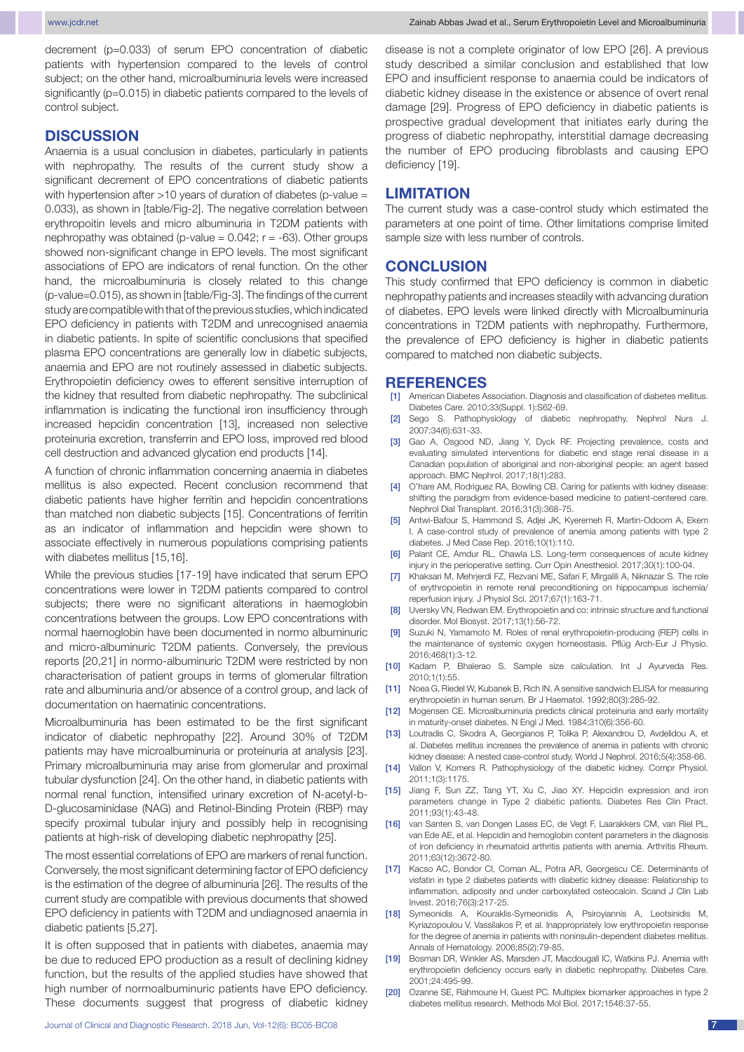decrement (p=0.033) of serum EPO concentration of diabetic patients with hypertension compared to the levels of control subject; on the other hand, microalbuminuria levels were increased significantly (p=0.015) in diabetic patients compared to the levels of control subject.

## **Discussion**

Anaemia is a usual conclusion in diabetes, particularly in patients with nephropathy. The results of the current study show a significant decrement of EPO concentrations of diabetic patients with hypertension after >10 years of duration of diabetes (p-value = 0.033), as shown in [table/Fig-2]. The negative correlation between erythropoitin levels and micro albuminuria in T2DM patients with nephropathy was obtained (p-value =  $0.042$ ;  $r = -63$ ). Other groups showed non-significant change in EPO levels. The most significant associations of EPO are indicators of renal function. On the other hand, the microalbuminuria is closely related to this change (p-value=0.015), as shown in [table/Fig-3]. The findings of the current study are compatible with that of the previous studies, which indicated EPO deficiency in patients with T2DM and unrecognised anaemia in diabetic patients. In spite of scientific conclusions that specified plasma EPO concentrations are generally low in diabetic subjects, anaemia and EPO are not routinely assessed in diabetic subjects. Erythropoietin deficiency owes to efferent sensitive interruption of the kidney that resulted from diabetic nephropathy. The subclinical inflammation is indicating the functional iron insufficiency through increased hepcidin concentration [13], increased non selective proteinuria excretion, transferrin and EPO loss, improved red blood cell destruction and advanced glycation end products [14].

A function of chronic inflammation concerning anaemia in diabetes mellitus is also expected. Recent conclusion recommend that diabetic patients have higher ferritin and hepcidin concentrations than matched non diabetic subjects [15]. Concentrations of ferritin as an indicator of inflammation and hepcidin were shown to associate effectively in numerous populations comprising patients with diabetes mellitus [15,16].

While the previous studies [17-19] have indicated that serum EPO concentrations were lower in T2DM patients compared to control subjects; there were no significant alterations in haemoglobin concentrations between the groups. Low EPO concentrations with normal haemoglobin have been documented in normo albuminuric and micro-albuminuric T2DM patients. Conversely, the previous reports [20,21] in normo-albuminuric T2DM were restricted by non characterisation of patient groups in terms of glomerular filtration rate and albuminuria and/or absence of a control group, and lack of documentation on haematinic concentrations.

Microalbuminuria has been estimated to be the first significant indicator of diabetic nephropathy [22]. Around 30% of T2DM patients may have microalbuminuria or proteinuria at analysis [23]. Primary microalbuminuria may arise from glomerular and proximal tubular dysfunction [24]. On the other hand, in diabetic patients with normal renal function, intensified urinary excretion of N-acetyl-b-D-glucosaminidase (NAG) and Retinol-Binding Protein (RBP) may specify proximal tubular injury and possibly help in recognising patients at high-risk of developing diabetic nephropathy [25].

The most essential correlations of EPO are markers of renal function. Conversely, the most significant determining factor of EPO deficiency is the estimation of the degree of albuminuria [26]. The results of the current study are compatible with previous documents that showed EPO deficiency in patients with T2DM and undiagnosed anaemia in diabetic patients [5,27].

It is often supposed that in patients with diabetes, anaemia may be due to reduced EPO production as a result of declining kidney function, but the results of the applied studies have showed that high number of normoalbuminuric patients have EPO deficiency. These documents suggest that progress of diabetic kidney

disease is not a complete originator of low EPO [26]. A previous study described a similar conclusion and established that low EPO and insufficient response to anaemia could be indicators of diabetic kidney disease in the existence or absence of overt renal damage [29]. Progress of EPO deficiency in diabetic patients is prospective gradual development that initiates early during the progress of diabetic nephropathy, interstitial damage decreasing the number of EPO producing fibroblasts and causing EPO deficiency [19].

#### **Limitation**

The current study was a case-control study which estimated the parameters at one point of time. Other limitations comprise limited sample size with less number of controls.

#### **Conclusion**

This study confirmed that EPO deficiency is common in diabetic nephropathy patients and increases steadily with advancing duration of diabetes. EPO levels were linked directly with Microalbuminuria concentrations in T2DM patients with nephropathy. Furthermore, the prevalence of EPO deficiency is higher in diabetic patients compared to matched non diabetic subjects.

#### **References**

- [1] American Diabetes Association. Diagnosis and classification of diabetes mellitus. Diabetes Care. 2010;33(Suppl. 1):S62-69.
- [2] Sego S. Pathophysiology of diabetic nephropathy. Nephrol Nurs J. 2007;34(6):631-33.
- [3] Gao A, Osgood ND, Jiang Y, Dyck RF. Projecting prevalence, costs and evaluating simulated interventions for diabetic end stage renal disease in a Canadian population of aboriginal and non-aboriginal people: an agent based approach. BMC Nephrol. 2017;18(1):283.
- [4] O'hare AM, Rodriguez RA, Bowling CB. Caring for patients with kidney disease: shifting the paradigm from evidence-based medicine to patient-centered care. Nephrol Dial Transplant. 2016;31(3):368-75.
- [5] Antwi-Bafour S, Hammond S, Adjei JK, Kyeremeh R, Martin-Odoom A, Ekem I. A case-control study of prevalence of anemia among patients with type 2 diabetes. J Med Case Rep. 2016;10(1):110.
- [6] Palant CE, Amdur RL, Chawla LS. Long-term consequences of acute kidney injury in the perioperative setting. Curr Opin Anesthesiol. 2017;30(1):100-04.
- [7] Khaksari M, Mehrjerdi FZ, Rezvani ME, Safari F, Mirgalili A, Niknazar S. The role of erythropoietin in remote renal preconditioning on hippocampus ischemia/ reperfusion injury. J Physiol Sci. 2017;67(1):163-71.
- [8] Uversky VN, Redwan EM. Erythropoietin and co: intrinsic structure and functional disorder. Mol Biosyst. 2017;13(1):56-72.
- [9] Suzuki N, Yamamoto M. Roles of renal erythropoietin-producing (REP) cells in the maintenance of systemic oxygen homeostasis. Pflüg Arch-Eur J Physio. 2016;468(1):3-12.
- [10] Kadam P, Bhalerao S. Sample size calculation. Int J Ayurveda Res. 2010;1(1):55.
- [11] Noea G, Riedel W, Kubanek B, Rich IN. A sensitive sandwich ELISA for measuring erythropoietin in human serum. Br J Haematol. 1992;80(3):285-92.
- [12] Mogensen CE. Microalbuminuria predicts clinical proteinuria and early mortality in maturity-onset diabetes. N Engl J Med. 1984;310(6):356-60.
- [13] Loutradis C, Skodra A, Georgianos P, Tolika P, Alexandrou D, Avdelidou A, et al. Diabetes mellitus increases the prevalence of anemia in patients with chronic kidney disease: A nested case-control study. World J Nephrol. 2016;5(4):358-66.
- [14] Vallon V, Komers R. Pathophysiology of the diabetic kidney. Compr Physiol. 2011;1(3):1175.
- [15] Jiang F, Sun ZZ, Tang YT, Xu C, Jiao XY. Hepcidin expression and iron parameters change in Type 2 diabetic patients. Diabetes Res Clin Pract. 2011;93(1):43-48.
- [16] van Santen S, van Dongen Lases EC, de Vegt F, Laarakkers CM, van Riel PL, van Ede AE, et al. Hepcidin and hemoglobin content parameters in the diagnosis of iron deficiency in rheumatoid arthritis patients with anemia. Arthritis Rheum. 2011;63(12):3672-80.
- [17] Kacso AC, Bondor CI, Coman AL, Potra AR, Georgescu CE. Determinants of visfatin in type 2 diabetes patients with diabetic kidney disease: Relationship to inflammation, adiposity and under carboxylated osteocalcin. Scand J Clin Lab Invest. 2016;76(3):217-25.
- [18] Symeonidis A, Kouraklis-Symeonidis A, Psiroyiannis A, Leotsinidis M, Kyriazopoulou V, Vassilakos P, et al. Inappropriately low erythropoietin response for the degree of anemia in patients with noninsulin-dependent diabetes mellitus. Annals of Hematology. 2006;85(2):79-85.
- [19] Bosman DR, Winkler AS, Marsden JT, Macdougall IC, Watkins PJ. Anemia with erythropoietin deficiency occurs early in diabetic nephropathy. Diabetes Care. 2001;24:495-99.
- [20] Ozanne SE, Rahmoune H, Guest PC. Multiplex biomarker approaches in type 2 diabetes mellitus research. Methods Mol Biol. 2017;1546:37-55.